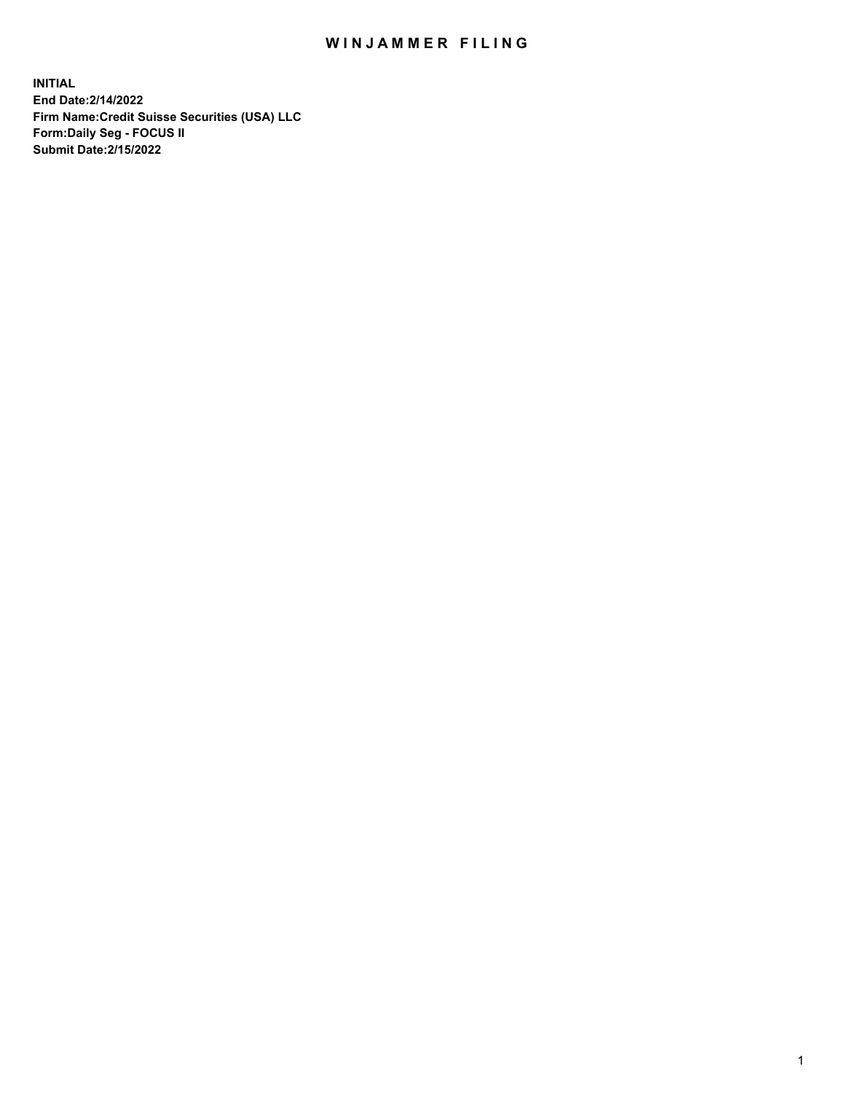## WIN JAMMER FILING

**INITIAL End Date:2/14/2022 Firm Name:Credit Suisse Securities (USA) LLC Form:Daily Seg - FOCUS II Submit Date:2/15/2022**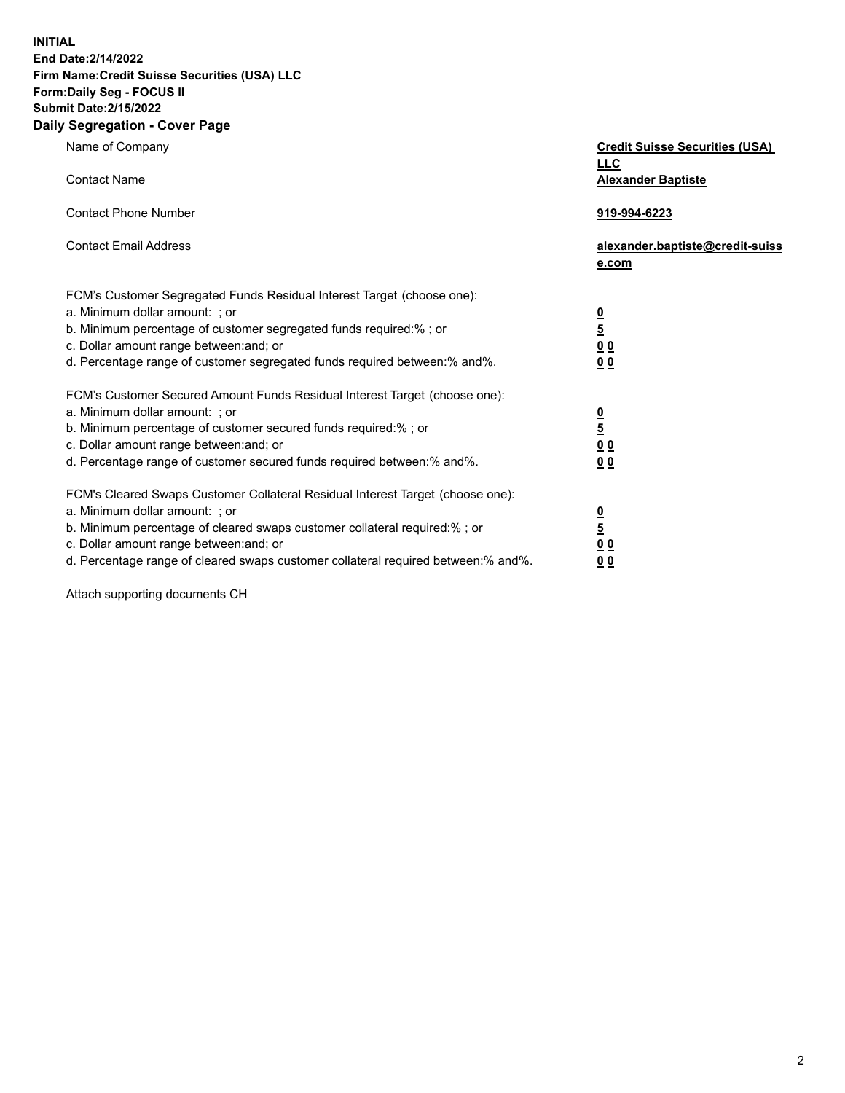**INITIAL End Date:2/14/2022** 

## **Firm Name:Credit Suisse Securities (USA) LLC Form:Daily Seg - FOCUS II Submit Date:2/15/2022**

## **Daily Segregation - Cover Page**

| Name of Company                                                                                                                                                                                                                                                                                                                | <b>Credit Suisse Securities (USA)</b><br><b>LLC</b>                |
|--------------------------------------------------------------------------------------------------------------------------------------------------------------------------------------------------------------------------------------------------------------------------------------------------------------------------------|--------------------------------------------------------------------|
| <b>Contact Name</b>                                                                                                                                                                                                                                                                                                            | <b>Alexander Baptiste</b>                                          |
| <b>Contact Phone Number</b>                                                                                                                                                                                                                                                                                                    | 919-994-6223                                                       |
| <b>Contact Email Address</b>                                                                                                                                                                                                                                                                                                   | alexander.baptiste@credit-suiss<br>e.com                           |
| FCM's Customer Segregated Funds Residual Interest Target (choose one):<br>a. Minimum dollar amount: ; or<br>b. Minimum percentage of customer segregated funds required:% ; or<br>c. Dollar amount range between: and; or<br>d. Percentage range of customer segregated funds required between: % and %.                       | $\frac{0}{5}$<br>$\underline{0}$ $\underline{0}$<br>0 <sub>0</sub> |
| FCM's Customer Secured Amount Funds Residual Interest Target (choose one):<br>a. Minimum dollar amount: ; or<br>b. Minimum percentage of customer secured funds required:% ; or<br>c. Dollar amount range between: and; or<br>d. Percentage range of customer secured funds required between:% and%.                           | $\frac{0}{5}$<br>0 <sub>0</sub><br>0 <sub>0</sub>                  |
| FCM's Cleared Swaps Customer Collateral Residual Interest Target (choose one):<br>a. Minimum dollar amount: ; or<br>b. Minimum percentage of cleared swaps customer collateral required:% ; or<br>c. Dollar amount range between: and; or<br>d. Percentage range of cleared swaps customer collateral required between:% and%. | $\frac{0}{5}$<br>0 <sub>0</sub><br>0 <sub>0</sub>                  |

Attach supporting documents CH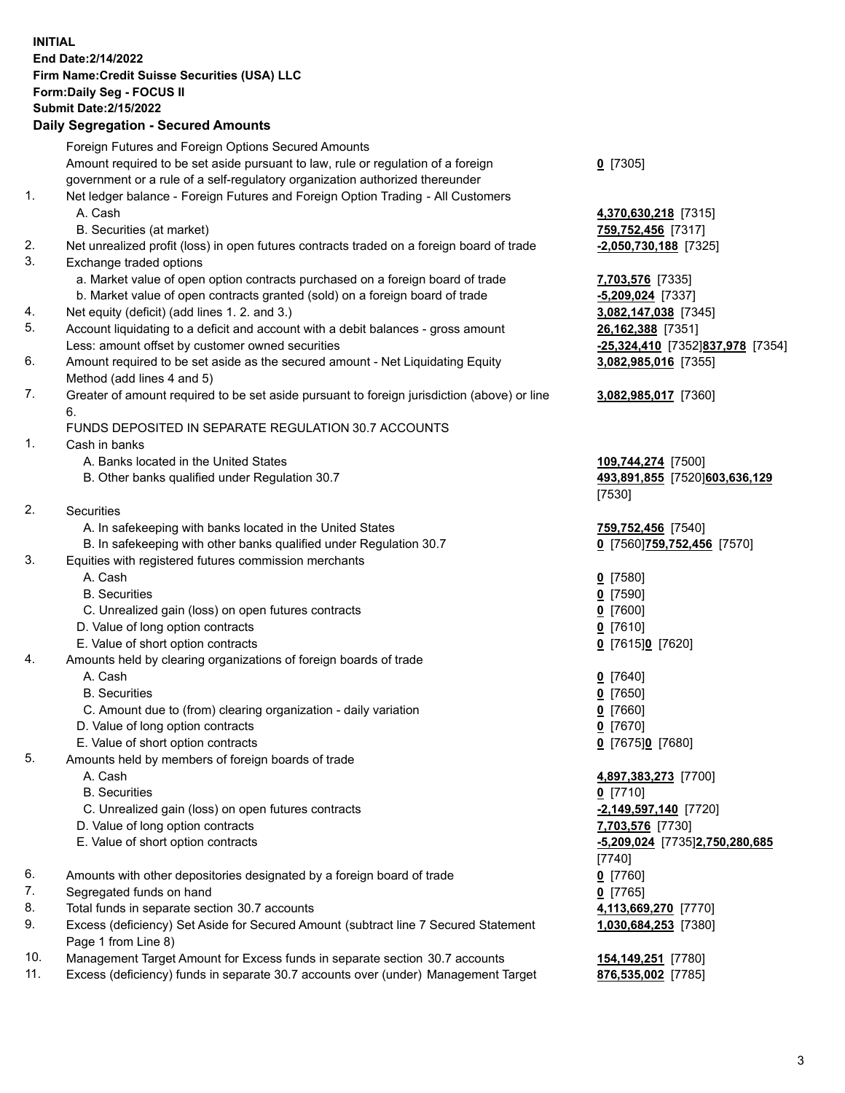**INITIAL End Date:2/14/2022 Firm Name:Credit Suisse Securities (USA) LLC Form:Daily Seg - FOCUS II Submit Date:2/15/2022** 

## **Daily Segregation - Secured Amounts**

| Amount required to be set aside pursuant to law, rule or regulation of a foreign<br>$0$ [7305]<br>government or a rule of a self-regulatory organization authorized thereunder<br>1.<br>Net ledger balance - Foreign Futures and Foreign Option Trading - All Customers<br>A. Cash<br>4,370,630,218 [7315]<br>B. Securities (at market)<br>759,752,456 [7317]<br>2.<br>Net unrealized profit (loss) in open futures contracts traded on a foreign board of trade<br>$-2,050,730,188$ [7325]<br>3.<br>Exchange traded options<br>a. Market value of open option contracts purchased on a foreign board of trade<br>7,703,576 [7335]<br>b. Market value of open contracts granted (sold) on a foreign board of trade<br>$-5,209,024$ [7337]<br>Net equity (deficit) (add lines 1. 2. and 3.)<br>4.<br>3,082,147,038 [7345]<br>5.<br>Account liquidating to a deficit and account with a debit balances - gross amount<br>26,162,388 [7351]<br>Less: amount offset by customer owned securities<br>-25,324,410 [7352]837,978 [7354]<br>6.<br>Amount required to be set aside as the secured amount - Net Liquidating Equity<br>3,082,985,016 [7355]<br>Method (add lines 4 and 5)<br>7.<br>Greater of amount required to be set aside pursuant to foreign jurisdiction (above) or line<br>3,082,985,017 [7360]<br>6.<br>FUNDS DEPOSITED IN SEPARATE REGULATION 30.7 ACCOUNTS<br>1.<br>Cash in banks<br>A. Banks located in the United States<br>109,744,274 [7500]<br>B. Other banks qualified under Regulation 30.7<br>493,891,855 [7520]603,636,129<br>[7530]<br>2.<br><b>Securities</b><br>A. In safekeeping with banks located in the United States<br>759,752,456 [7540]<br>B. In safekeeping with other banks qualified under Regulation 30.7<br>0 [7560] 759,752,456 [7570]<br>3.<br>Equities with registered futures commission merchants<br>A. Cash<br>$0$ [7580]<br><b>B.</b> Securities<br>$0$ [7590]<br>C. Unrealized gain (loss) on open futures contracts<br>$0$ [7600]<br>D. Value of long option contracts<br>$0$ [7610]<br>E. Value of short option contracts<br>0 [7615]0 [7620]<br>4.<br>Amounts held by clearing organizations of foreign boards of trade<br>A. Cash<br>$0$ [7640]<br><b>B.</b> Securities<br>$0$ [7650]<br>C. Amount due to (from) clearing organization - daily variation<br>$0$ [7660]<br>D. Value of long option contracts<br>$0$ [7670]<br>E. Value of short option contracts<br>0 [7675]0 [7680]<br>5.<br>Amounts held by members of foreign boards of trade<br>A. Cash<br>4,897,383,273 [7700]<br><b>B.</b> Securities<br>$0$ [7710]<br>C. Unrealized gain (loss) on open futures contracts<br>$-2,149,597,140$ [7720]<br>D. Value of long option contracts<br>7,703,576 [7730]<br>E. Value of short option contracts<br>-5,209,024 [7735]2,750,280,685<br>[7740]<br>Amounts with other depositories designated by a foreign board of trade<br>$0$ [7760]<br>Segregated funds on hand<br>$0$ [7765]<br>Total funds in separate section 30.7 accounts<br>4,113,669,270 [7770]<br>Excess (deficiency) Set Aside for Secured Amount (subtract line 7 Secured Statement<br>1,030,684,253 [7380]<br>Page 1 from Line 8)<br>10.<br>Management Target Amount for Excess funds in separate section 30.7 accounts<br>154,149,251 [7780]<br>11.<br>Excess (deficiency) funds in separate 30.7 accounts over (under) Management Target<br>876,535,002 [7785] |    | Foreign Futures and Foreign Options Secured Amounts |  |
|-------------------------------------------------------------------------------------------------------------------------------------------------------------------------------------------------------------------------------------------------------------------------------------------------------------------------------------------------------------------------------------------------------------------------------------------------------------------------------------------------------------------------------------------------------------------------------------------------------------------------------------------------------------------------------------------------------------------------------------------------------------------------------------------------------------------------------------------------------------------------------------------------------------------------------------------------------------------------------------------------------------------------------------------------------------------------------------------------------------------------------------------------------------------------------------------------------------------------------------------------------------------------------------------------------------------------------------------------------------------------------------------------------------------------------------------------------------------------------------------------------------------------------------------------------------------------------------------------------------------------------------------------------------------------------------------------------------------------------------------------------------------------------------------------------------------------------------------------------------------------------------------------------------------------------------------------------------------------------------------------------------------------------------------------------------------------------------------------------------------------------------------------------------------------------------------------------------------------------------------------------------------------------------------------------------------------------------------------------------------------------------------------------------------------------------------------------------------------------------------------------------------------------------------------------------------------------------------------------------------------------------------------------------------------------------------------------------------------------------------------------------------------------------------------------------------------------------------------------------------------------------------------------------------------------------------------------------------------------------------------------------------------------------------------------------------------------------------------------------------------------------------------------------------------------------------------------------------------------------------------------------------------------------------------------------------------------------------------------------------------------------------|----|-----------------------------------------------------|--|
|                                                                                                                                                                                                                                                                                                                                                                                                                                                                                                                                                                                                                                                                                                                                                                                                                                                                                                                                                                                                                                                                                                                                                                                                                                                                                                                                                                                                                                                                                                                                                                                                                                                                                                                                                                                                                                                                                                                                                                                                                                                                                                                                                                                                                                                                                                                                                                                                                                                                                                                                                                                                                                                                                                                                                                                                                                                                                                                                                                                                                                                                                                                                                                                                                                                                                                                                                                                           |    |                                                     |  |
|                                                                                                                                                                                                                                                                                                                                                                                                                                                                                                                                                                                                                                                                                                                                                                                                                                                                                                                                                                                                                                                                                                                                                                                                                                                                                                                                                                                                                                                                                                                                                                                                                                                                                                                                                                                                                                                                                                                                                                                                                                                                                                                                                                                                                                                                                                                                                                                                                                                                                                                                                                                                                                                                                                                                                                                                                                                                                                                                                                                                                                                                                                                                                                                                                                                                                                                                                                                           |    |                                                     |  |
|                                                                                                                                                                                                                                                                                                                                                                                                                                                                                                                                                                                                                                                                                                                                                                                                                                                                                                                                                                                                                                                                                                                                                                                                                                                                                                                                                                                                                                                                                                                                                                                                                                                                                                                                                                                                                                                                                                                                                                                                                                                                                                                                                                                                                                                                                                                                                                                                                                                                                                                                                                                                                                                                                                                                                                                                                                                                                                                                                                                                                                                                                                                                                                                                                                                                                                                                                                                           |    |                                                     |  |
|                                                                                                                                                                                                                                                                                                                                                                                                                                                                                                                                                                                                                                                                                                                                                                                                                                                                                                                                                                                                                                                                                                                                                                                                                                                                                                                                                                                                                                                                                                                                                                                                                                                                                                                                                                                                                                                                                                                                                                                                                                                                                                                                                                                                                                                                                                                                                                                                                                                                                                                                                                                                                                                                                                                                                                                                                                                                                                                                                                                                                                                                                                                                                                                                                                                                                                                                                                                           |    |                                                     |  |
|                                                                                                                                                                                                                                                                                                                                                                                                                                                                                                                                                                                                                                                                                                                                                                                                                                                                                                                                                                                                                                                                                                                                                                                                                                                                                                                                                                                                                                                                                                                                                                                                                                                                                                                                                                                                                                                                                                                                                                                                                                                                                                                                                                                                                                                                                                                                                                                                                                                                                                                                                                                                                                                                                                                                                                                                                                                                                                                                                                                                                                                                                                                                                                                                                                                                                                                                                                                           |    |                                                     |  |
|                                                                                                                                                                                                                                                                                                                                                                                                                                                                                                                                                                                                                                                                                                                                                                                                                                                                                                                                                                                                                                                                                                                                                                                                                                                                                                                                                                                                                                                                                                                                                                                                                                                                                                                                                                                                                                                                                                                                                                                                                                                                                                                                                                                                                                                                                                                                                                                                                                                                                                                                                                                                                                                                                                                                                                                                                                                                                                                                                                                                                                                                                                                                                                                                                                                                                                                                                                                           |    |                                                     |  |
|                                                                                                                                                                                                                                                                                                                                                                                                                                                                                                                                                                                                                                                                                                                                                                                                                                                                                                                                                                                                                                                                                                                                                                                                                                                                                                                                                                                                                                                                                                                                                                                                                                                                                                                                                                                                                                                                                                                                                                                                                                                                                                                                                                                                                                                                                                                                                                                                                                                                                                                                                                                                                                                                                                                                                                                                                                                                                                                                                                                                                                                                                                                                                                                                                                                                                                                                                                                           |    |                                                     |  |
|                                                                                                                                                                                                                                                                                                                                                                                                                                                                                                                                                                                                                                                                                                                                                                                                                                                                                                                                                                                                                                                                                                                                                                                                                                                                                                                                                                                                                                                                                                                                                                                                                                                                                                                                                                                                                                                                                                                                                                                                                                                                                                                                                                                                                                                                                                                                                                                                                                                                                                                                                                                                                                                                                                                                                                                                                                                                                                                                                                                                                                                                                                                                                                                                                                                                                                                                                                                           |    |                                                     |  |
|                                                                                                                                                                                                                                                                                                                                                                                                                                                                                                                                                                                                                                                                                                                                                                                                                                                                                                                                                                                                                                                                                                                                                                                                                                                                                                                                                                                                                                                                                                                                                                                                                                                                                                                                                                                                                                                                                                                                                                                                                                                                                                                                                                                                                                                                                                                                                                                                                                                                                                                                                                                                                                                                                                                                                                                                                                                                                                                                                                                                                                                                                                                                                                                                                                                                                                                                                                                           |    |                                                     |  |
|                                                                                                                                                                                                                                                                                                                                                                                                                                                                                                                                                                                                                                                                                                                                                                                                                                                                                                                                                                                                                                                                                                                                                                                                                                                                                                                                                                                                                                                                                                                                                                                                                                                                                                                                                                                                                                                                                                                                                                                                                                                                                                                                                                                                                                                                                                                                                                                                                                                                                                                                                                                                                                                                                                                                                                                                                                                                                                                                                                                                                                                                                                                                                                                                                                                                                                                                                                                           |    |                                                     |  |
|                                                                                                                                                                                                                                                                                                                                                                                                                                                                                                                                                                                                                                                                                                                                                                                                                                                                                                                                                                                                                                                                                                                                                                                                                                                                                                                                                                                                                                                                                                                                                                                                                                                                                                                                                                                                                                                                                                                                                                                                                                                                                                                                                                                                                                                                                                                                                                                                                                                                                                                                                                                                                                                                                                                                                                                                                                                                                                                                                                                                                                                                                                                                                                                                                                                                                                                                                                                           |    |                                                     |  |
|                                                                                                                                                                                                                                                                                                                                                                                                                                                                                                                                                                                                                                                                                                                                                                                                                                                                                                                                                                                                                                                                                                                                                                                                                                                                                                                                                                                                                                                                                                                                                                                                                                                                                                                                                                                                                                                                                                                                                                                                                                                                                                                                                                                                                                                                                                                                                                                                                                                                                                                                                                                                                                                                                                                                                                                                                                                                                                                                                                                                                                                                                                                                                                                                                                                                                                                                                                                           |    |                                                     |  |
|                                                                                                                                                                                                                                                                                                                                                                                                                                                                                                                                                                                                                                                                                                                                                                                                                                                                                                                                                                                                                                                                                                                                                                                                                                                                                                                                                                                                                                                                                                                                                                                                                                                                                                                                                                                                                                                                                                                                                                                                                                                                                                                                                                                                                                                                                                                                                                                                                                                                                                                                                                                                                                                                                                                                                                                                                                                                                                                                                                                                                                                                                                                                                                                                                                                                                                                                                                                           |    |                                                     |  |
|                                                                                                                                                                                                                                                                                                                                                                                                                                                                                                                                                                                                                                                                                                                                                                                                                                                                                                                                                                                                                                                                                                                                                                                                                                                                                                                                                                                                                                                                                                                                                                                                                                                                                                                                                                                                                                                                                                                                                                                                                                                                                                                                                                                                                                                                                                                                                                                                                                                                                                                                                                                                                                                                                                                                                                                                                                                                                                                                                                                                                                                                                                                                                                                                                                                                                                                                                                                           |    |                                                     |  |
|                                                                                                                                                                                                                                                                                                                                                                                                                                                                                                                                                                                                                                                                                                                                                                                                                                                                                                                                                                                                                                                                                                                                                                                                                                                                                                                                                                                                                                                                                                                                                                                                                                                                                                                                                                                                                                                                                                                                                                                                                                                                                                                                                                                                                                                                                                                                                                                                                                                                                                                                                                                                                                                                                                                                                                                                                                                                                                                                                                                                                                                                                                                                                                                                                                                                                                                                                                                           |    |                                                     |  |
|                                                                                                                                                                                                                                                                                                                                                                                                                                                                                                                                                                                                                                                                                                                                                                                                                                                                                                                                                                                                                                                                                                                                                                                                                                                                                                                                                                                                                                                                                                                                                                                                                                                                                                                                                                                                                                                                                                                                                                                                                                                                                                                                                                                                                                                                                                                                                                                                                                                                                                                                                                                                                                                                                                                                                                                                                                                                                                                                                                                                                                                                                                                                                                                                                                                                                                                                                                                           |    |                                                     |  |
|                                                                                                                                                                                                                                                                                                                                                                                                                                                                                                                                                                                                                                                                                                                                                                                                                                                                                                                                                                                                                                                                                                                                                                                                                                                                                                                                                                                                                                                                                                                                                                                                                                                                                                                                                                                                                                                                                                                                                                                                                                                                                                                                                                                                                                                                                                                                                                                                                                                                                                                                                                                                                                                                                                                                                                                                                                                                                                                                                                                                                                                                                                                                                                                                                                                                                                                                                                                           |    |                                                     |  |
|                                                                                                                                                                                                                                                                                                                                                                                                                                                                                                                                                                                                                                                                                                                                                                                                                                                                                                                                                                                                                                                                                                                                                                                                                                                                                                                                                                                                                                                                                                                                                                                                                                                                                                                                                                                                                                                                                                                                                                                                                                                                                                                                                                                                                                                                                                                                                                                                                                                                                                                                                                                                                                                                                                                                                                                                                                                                                                                                                                                                                                                                                                                                                                                                                                                                                                                                                                                           |    |                                                     |  |
|                                                                                                                                                                                                                                                                                                                                                                                                                                                                                                                                                                                                                                                                                                                                                                                                                                                                                                                                                                                                                                                                                                                                                                                                                                                                                                                                                                                                                                                                                                                                                                                                                                                                                                                                                                                                                                                                                                                                                                                                                                                                                                                                                                                                                                                                                                                                                                                                                                                                                                                                                                                                                                                                                                                                                                                                                                                                                                                                                                                                                                                                                                                                                                                                                                                                                                                                                                                           |    |                                                     |  |
|                                                                                                                                                                                                                                                                                                                                                                                                                                                                                                                                                                                                                                                                                                                                                                                                                                                                                                                                                                                                                                                                                                                                                                                                                                                                                                                                                                                                                                                                                                                                                                                                                                                                                                                                                                                                                                                                                                                                                                                                                                                                                                                                                                                                                                                                                                                                                                                                                                                                                                                                                                                                                                                                                                                                                                                                                                                                                                                                                                                                                                                                                                                                                                                                                                                                                                                                                                                           |    |                                                     |  |
|                                                                                                                                                                                                                                                                                                                                                                                                                                                                                                                                                                                                                                                                                                                                                                                                                                                                                                                                                                                                                                                                                                                                                                                                                                                                                                                                                                                                                                                                                                                                                                                                                                                                                                                                                                                                                                                                                                                                                                                                                                                                                                                                                                                                                                                                                                                                                                                                                                                                                                                                                                                                                                                                                                                                                                                                                                                                                                                                                                                                                                                                                                                                                                                                                                                                                                                                                                                           |    |                                                     |  |
|                                                                                                                                                                                                                                                                                                                                                                                                                                                                                                                                                                                                                                                                                                                                                                                                                                                                                                                                                                                                                                                                                                                                                                                                                                                                                                                                                                                                                                                                                                                                                                                                                                                                                                                                                                                                                                                                                                                                                                                                                                                                                                                                                                                                                                                                                                                                                                                                                                                                                                                                                                                                                                                                                                                                                                                                                                                                                                                                                                                                                                                                                                                                                                                                                                                                                                                                                                                           |    |                                                     |  |
|                                                                                                                                                                                                                                                                                                                                                                                                                                                                                                                                                                                                                                                                                                                                                                                                                                                                                                                                                                                                                                                                                                                                                                                                                                                                                                                                                                                                                                                                                                                                                                                                                                                                                                                                                                                                                                                                                                                                                                                                                                                                                                                                                                                                                                                                                                                                                                                                                                                                                                                                                                                                                                                                                                                                                                                                                                                                                                                                                                                                                                                                                                                                                                                                                                                                                                                                                                                           |    |                                                     |  |
|                                                                                                                                                                                                                                                                                                                                                                                                                                                                                                                                                                                                                                                                                                                                                                                                                                                                                                                                                                                                                                                                                                                                                                                                                                                                                                                                                                                                                                                                                                                                                                                                                                                                                                                                                                                                                                                                                                                                                                                                                                                                                                                                                                                                                                                                                                                                                                                                                                                                                                                                                                                                                                                                                                                                                                                                                                                                                                                                                                                                                                                                                                                                                                                                                                                                                                                                                                                           |    |                                                     |  |
|                                                                                                                                                                                                                                                                                                                                                                                                                                                                                                                                                                                                                                                                                                                                                                                                                                                                                                                                                                                                                                                                                                                                                                                                                                                                                                                                                                                                                                                                                                                                                                                                                                                                                                                                                                                                                                                                                                                                                                                                                                                                                                                                                                                                                                                                                                                                                                                                                                                                                                                                                                                                                                                                                                                                                                                                                                                                                                                                                                                                                                                                                                                                                                                                                                                                                                                                                                                           |    |                                                     |  |
|                                                                                                                                                                                                                                                                                                                                                                                                                                                                                                                                                                                                                                                                                                                                                                                                                                                                                                                                                                                                                                                                                                                                                                                                                                                                                                                                                                                                                                                                                                                                                                                                                                                                                                                                                                                                                                                                                                                                                                                                                                                                                                                                                                                                                                                                                                                                                                                                                                                                                                                                                                                                                                                                                                                                                                                                                                                                                                                                                                                                                                                                                                                                                                                                                                                                                                                                                                                           |    |                                                     |  |
|                                                                                                                                                                                                                                                                                                                                                                                                                                                                                                                                                                                                                                                                                                                                                                                                                                                                                                                                                                                                                                                                                                                                                                                                                                                                                                                                                                                                                                                                                                                                                                                                                                                                                                                                                                                                                                                                                                                                                                                                                                                                                                                                                                                                                                                                                                                                                                                                                                                                                                                                                                                                                                                                                                                                                                                                                                                                                                                                                                                                                                                                                                                                                                                                                                                                                                                                                                                           |    |                                                     |  |
|                                                                                                                                                                                                                                                                                                                                                                                                                                                                                                                                                                                                                                                                                                                                                                                                                                                                                                                                                                                                                                                                                                                                                                                                                                                                                                                                                                                                                                                                                                                                                                                                                                                                                                                                                                                                                                                                                                                                                                                                                                                                                                                                                                                                                                                                                                                                                                                                                                                                                                                                                                                                                                                                                                                                                                                                                                                                                                                                                                                                                                                                                                                                                                                                                                                                                                                                                                                           |    |                                                     |  |
|                                                                                                                                                                                                                                                                                                                                                                                                                                                                                                                                                                                                                                                                                                                                                                                                                                                                                                                                                                                                                                                                                                                                                                                                                                                                                                                                                                                                                                                                                                                                                                                                                                                                                                                                                                                                                                                                                                                                                                                                                                                                                                                                                                                                                                                                                                                                                                                                                                                                                                                                                                                                                                                                                                                                                                                                                                                                                                                                                                                                                                                                                                                                                                                                                                                                                                                                                                                           |    |                                                     |  |
|                                                                                                                                                                                                                                                                                                                                                                                                                                                                                                                                                                                                                                                                                                                                                                                                                                                                                                                                                                                                                                                                                                                                                                                                                                                                                                                                                                                                                                                                                                                                                                                                                                                                                                                                                                                                                                                                                                                                                                                                                                                                                                                                                                                                                                                                                                                                                                                                                                                                                                                                                                                                                                                                                                                                                                                                                                                                                                                                                                                                                                                                                                                                                                                                                                                                                                                                                                                           |    |                                                     |  |
|                                                                                                                                                                                                                                                                                                                                                                                                                                                                                                                                                                                                                                                                                                                                                                                                                                                                                                                                                                                                                                                                                                                                                                                                                                                                                                                                                                                                                                                                                                                                                                                                                                                                                                                                                                                                                                                                                                                                                                                                                                                                                                                                                                                                                                                                                                                                                                                                                                                                                                                                                                                                                                                                                                                                                                                                                                                                                                                                                                                                                                                                                                                                                                                                                                                                                                                                                                                           |    |                                                     |  |
|                                                                                                                                                                                                                                                                                                                                                                                                                                                                                                                                                                                                                                                                                                                                                                                                                                                                                                                                                                                                                                                                                                                                                                                                                                                                                                                                                                                                                                                                                                                                                                                                                                                                                                                                                                                                                                                                                                                                                                                                                                                                                                                                                                                                                                                                                                                                                                                                                                                                                                                                                                                                                                                                                                                                                                                                                                                                                                                                                                                                                                                                                                                                                                                                                                                                                                                                                                                           |    |                                                     |  |
|                                                                                                                                                                                                                                                                                                                                                                                                                                                                                                                                                                                                                                                                                                                                                                                                                                                                                                                                                                                                                                                                                                                                                                                                                                                                                                                                                                                                                                                                                                                                                                                                                                                                                                                                                                                                                                                                                                                                                                                                                                                                                                                                                                                                                                                                                                                                                                                                                                                                                                                                                                                                                                                                                                                                                                                                                                                                                                                                                                                                                                                                                                                                                                                                                                                                                                                                                                                           |    |                                                     |  |
|                                                                                                                                                                                                                                                                                                                                                                                                                                                                                                                                                                                                                                                                                                                                                                                                                                                                                                                                                                                                                                                                                                                                                                                                                                                                                                                                                                                                                                                                                                                                                                                                                                                                                                                                                                                                                                                                                                                                                                                                                                                                                                                                                                                                                                                                                                                                                                                                                                                                                                                                                                                                                                                                                                                                                                                                                                                                                                                                                                                                                                                                                                                                                                                                                                                                                                                                                                                           |    |                                                     |  |
|                                                                                                                                                                                                                                                                                                                                                                                                                                                                                                                                                                                                                                                                                                                                                                                                                                                                                                                                                                                                                                                                                                                                                                                                                                                                                                                                                                                                                                                                                                                                                                                                                                                                                                                                                                                                                                                                                                                                                                                                                                                                                                                                                                                                                                                                                                                                                                                                                                                                                                                                                                                                                                                                                                                                                                                                                                                                                                                                                                                                                                                                                                                                                                                                                                                                                                                                                                                           |    |                                                     |  |
|                                                                                                                                                                                                                                                                                                                                                                                                                                                                                                                                                                                                                                                                                                                                                                                                                                                                                                                                                                                                                                                                                                                                                                                                                                                                                                                                                                                                                                                                                                                                                                                                                                                                                                                                                                                                                                                                                                                                                                                                                                                                                                                                                                                                                                                                                                                                                                                                                                                                                                                                                                                                                                                                                                                                                                                                                                                                                                                                                                                                                                                                                                                                                                                                                                                                                                                                                                                           |    |                                                     |  |
|                                                                                                                                                                                                                                                                                                                                                                                                                                                                                                                                                                                                                                                                                                                                                                                                                                                                                                                                                                                                                                                                                                                                                                                                                                                                                                                                                                                                                                                                                                                                                                                                                                                                                                                                                                                                                                                                                                                                                                                                                                                                                                                                                                                                                                                                                                                                                                                                                                                                                                                                                                                                                                                                                                                                                                                                                                                                                                                                                                                                                                                                                                                                                                                                                                                                                                                                                                                           |    |                                                     |  |
|                                                                                                                                                                                                                                                                                                                                                                                                                                                                                                                                                                                                                                                                                                                                                                                                                                                                                                                                                                                                                                                                                                                                                                                                                                                                                                                                                                                                                                                                                                                                                                                                                                                                                                                                                                                                                                                                                                                                                                                                                                                                                                                                                                                                                                                                                                                                                                                                                                                                                                                                                                                                                                                                                                                                                                                                                                                                                                                                                                                                                                                                                                                                                                                                                                                                                                                                                                                           |    |                                                     |  |
|                                                                                                                                                                                                                                                                                                                                                                                                                                                                                                                                                                                                                                                                                                                                                                                                                                                                                                                                                                                                                                                                                                                                                                                                                                                                                                                                                                                                                                                                                                                                                                                                                                                                                                                                                                                                                                                                                                                                                                                                                                                                                                                                                                                                                                                                                                                                                                                                                                                                                                                                                                                                                                                                                                                                                                                                                                                                                                                                                                                                                                                                                                                                                                                                                                                                                                                                                                                           |    |                                                     |  |
|                                                                                                                                                                                                                                                                                                                                                                                                                                                                                                                                                                                                                                                                                                                                                                                                                                                                                                                                                                                                                                                                                                                                                                                                                                                                                                                                                                                                                                                                                                                                                                                                                                                                                                                                                                                                                                                                                                                                                                                                                                                                                                                                                                                                                                                                                                                                                                                                                                                                                                                                                                                                                                                                                                                                                                                                                                                                                                                                                                                                                                                                                                                                                                                                                                                                                                                                                                                           |    |                                                     |  |
|                                                                                                                                                                                                                                                                                                                                                                                                                                                                                                                                                                                                                                                                                                                                                                                                                                                                                                                                                                                                                                                                                                                                                                                                                                                                                                                                                                                                                                                                                                                                                                                                                                                                                                                                                                                                                                                                                                                                                                                                                                                                                                                                                                                                                                                                                                                                                                                                                                                                                                                                                                                                                                                                                                                                                                                                                                                                                                                                                                                                                                                                                                                                                                                                                                                                                                                                                                                           |    |                                                     |  |
|                                                                                                                                                                                                                                                                                                                                                                                                                                                                                                                                                                                                                                                                                                                                                                                                                                                                                                                                                                                                                                                                                                                                                                                                                                                                                                                                                                                                                                                                                                                                                                                                                                                                                                                                                                                                                                                                                                                                                                                                                                                                                                                                                                                                                                                                                                                                                                                                                                                                                                                                                                                                                                                                                                                                                                                                                                                                                                                                                                                                                                                                                                                                                                                                                                                                                                                                                                                           |    |                                                     |  |
|                                                                                                                                                                                                                                                                                                                                                                                                                                                                                                                                                                                                                                                                                                                                                                                                                                                                                                                                                                                                                                                                                                                                                                                                                                                                                                                                                                                                                                                                                                                                                                                                                                                                                                                                                                                                                                                                                                                                                                                                                                                                                                                                                                                                                                                                                                                                                                                                                                                                                                                                                                                                                                                                                                                                                                                                                                                                                                                                                                                                                                                                                                                                                                                                                                                                                                                                                                                           | 6. |                                                     |  |
|                                                                                                                                                                                                                                                                                                                                                                                                                                                                                                                                                                                                                                                                                                                                                                                                                                                                                                                                                                                                                                                                                                                                                                                                                                                                                                                                                                                                                                                                                                                                                                                                                                                                                                                                                                                                                                                                                                                                                                                                                                                                                                                                                                                                                                                                                                                                                                                                                                                                                                                                                                                                                                                                                                                                                                                                                                                                                                                                                                                                                                                                                                                                                                                                                                                                                                                                                                                           | 7. |                                                     |  |
|                                                                                                                                                                                                                                                                                                                                                                                                                                                                                                                                                                                                                                                                                                                                                                                                                                                                                                                                                                                                                                                                                                                                                                                                                                                                                                                                                                                                                                                                                                                                                                                                                                                                                                                                                                                                                                                                                                                                                                                                                                                                                                                                                                                                                                                                                                                                                                                                                                                                                                                                                                                                                                                                                                                                                                                                                                                                                                                                                                                                                                                                                                                                                                                                                                                                                                                                                                                           | 8. |                                                     |  |
|                                                                                                                                                                                                                                                                                                                                                                                                                                                                                                                                                                                                                                                                                                                                                                                                                                                                                                                                                                                                                                                                                                                                                                                                                                                                                                                                                                                                                                                                                                                                                                                                                                                                                                                                                                                                                                                                                                                                                                                                                                                                                                                                                                                                                                                                                                                                                                                                                                                                                                                                                                                                                                                                                                                                                                                                                                                                                                                                                                                                                                                                                                                                                                                                                                                                                                                                                                                           | 9. |                                                     |  |
|                                                                                                                                                                                                                                                                                                                                                                                                                                                                                                                                                                                                                                                                                                                                                                                                                                                                                                                                                                                                                                                                                                                                                                                                                                                                                                                                                                                                                                                                                                                                                                                                                                                                                                                                                                                                                                                                                                                                                                                                                                                                                                                                                                                                                                                                                                                                                                                                                                                                                                                                                                                                                                                                                                                                                                                                                                                                                                                                                                                                                                                                                                                                                                                                                                                                                                                                                                                           |    |                                                     |  |
|                                                                                                                                                                                                                                                                                                                                                                                                                                                                                                                                                                                                                                                                                                                                                                                                                                                                                                                                                                                                                                                                                                                                                                                                                                                                                                                                                                                                                                                                                                                                                                                                                                                                                                                                                                                                                                                                                                                                                                                                                                                                                                                                                                                                                                                                                                                                                                                                                                                                                                                                                                                                                                                                                                                                                                                                                                                                                                                                                                                                                                                                                                                                                                                                                                                                                                                                                                                           |    |                                                     |  |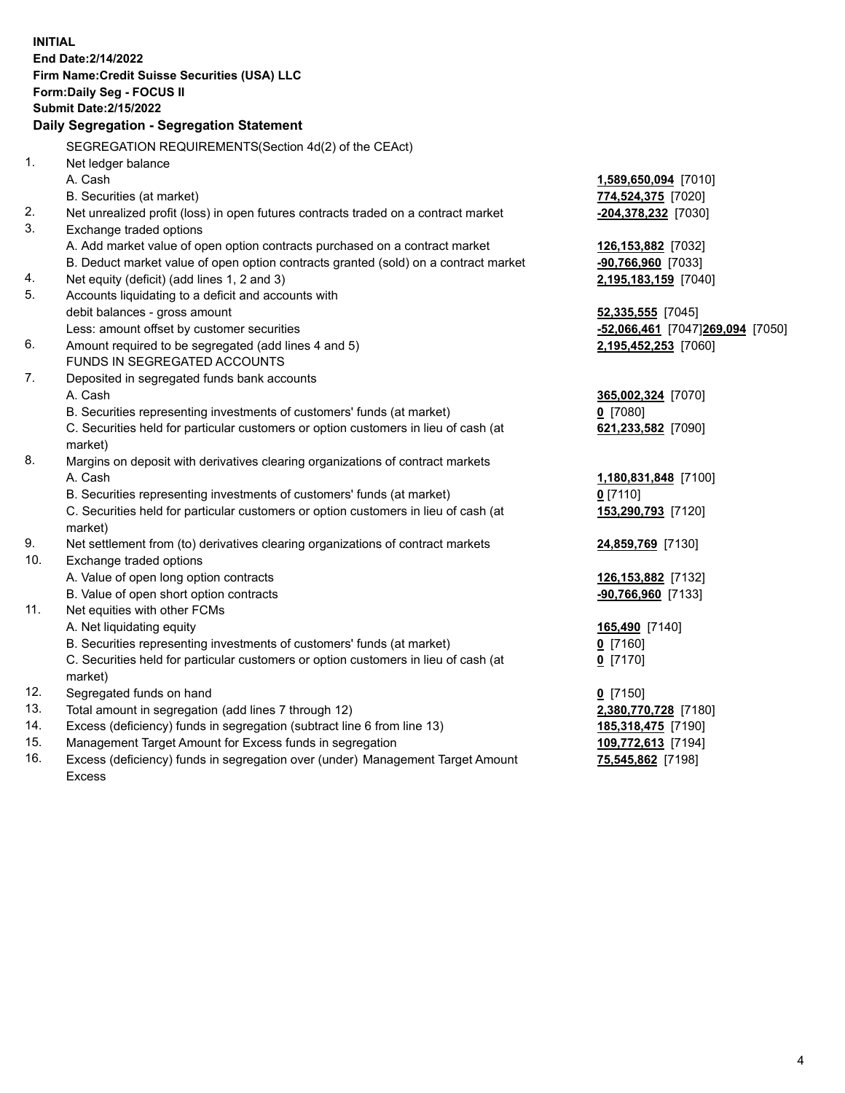15. Management Target Amount for Excess funds in segregation **109,772,613** [7194] 16. Excess (deficiency) funds in segregation over (under) Management Target Amount **75,545,862** [7198] **INITIAL End Date:2/14/2022 Firm Name:Credit Suisse Securities (USA) LLC Form:Daily Seg - FOCUS II Submit Date:2/15/2022 Daily Segregation - Segregation Statement**  SEGREGATION REQUIREMENTS(Section 4d(2) of the CEAct) 1. Net ledger balance A. Cash **1,589,650,094** [7010] B. Securities (at market) **774,524,375** [7020] 2. Net unrealized profit (loss) in open futures contracts traded on a contract market **-204,378,232** [7030] 3. Exchange traded options A. Add market value of open option contracts purchased on a contract market **126,153,882** [7032] B. Deduct market value of open option contracts granted (sold) on a contract market **-90,766,960** [7033] 4. Net equity (deficit) (add lines 1, 2 and 3) **2,195,183,159** [7040] 5. Accounts liquidating to a deficit and accounts with debit balances - gross amount **52,335,555** [7045] Less: amount offset by customer securities **-52,066,461** [7047] **269,094** [7050] 6. Amount required to be segregated (add lines 4 and 5) **2,195,452,253** [7060] FUNDS IN SEGREGATED ACCOUNTS 7. Deposited in segregated funds bank accounts A. Cash **365,002,324** [7070] B. Securities representing investments of customers' funds (at market) **0** [7080] C. Securities held for particular customers or option customers in lieu of cash (at **621,233,582** [7090] market) 8. Margins on deposit with derivatives clearing organizations of contract markets A. Cash **1,180,831,848** [7100] B. Securities representing investments of customers' funds (at market) **0** [7110] C. Securities held for particular customers or option customers in lieu of cash (at **153,290,793** [7120] market) 9. Net settlement from (to) derivatives clearing organizations of contract markets **24,859,769** [7130] 10. Exchange traded options A. Value of open long option contracts **126,153,882** [7132] B. Value of open short option contracts **-90,766,960** [7133] 11. Net equities with other FCMs A. Net liquidating equity **165,490** [7140] B. Securities representing investments of customers' funds (at market) **0** [7160] C. Securities held for particular customers or option customers in lieu of cash (at **0** [7170] market) 12. Segregated funds on hand **0** [7150] 13. Total amount in segregation (add lines 7 through 12) **2,380,770,728** [7180] 14. Excess (deficiency) funds in segregation (subtract line 6 from line 13) **185,318,475** [7190]

Excess